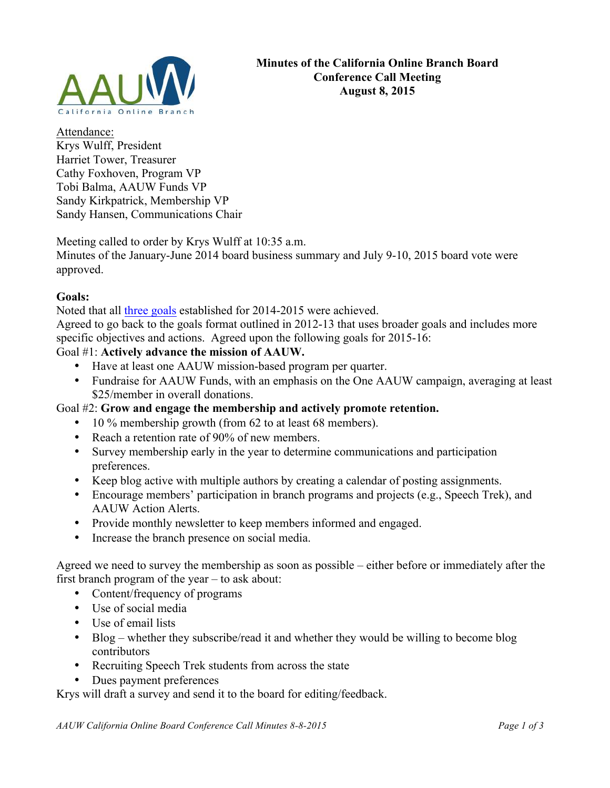

Attendance: Krys Wulff, President Harriet Tower, Treasurer Cathy Foxhoven, Program VP Tobi Balma, AAUW Funds VP Sandy Kirkpatrick, Membership VP Sandy Hansen, Communications Chair

Meeting called to order by Krys Wulff at 10:35 a.m.

Minutes of the January-June 2014 board business summary and July 9-10, 2015 board vote were approved.

# **Goals:**

Noted that all three goals established for 2014-2015 were achieved.

Agreed to go back to the goals format outlined in 2012-13 that uses broader goals and includes more specific objectives and actions. Agreed upon the following goals for 2015-16:

# Goal #1: **Actively advance the mission of AAUW.**

- Have at least one AAUW mission-based program per quarter.
- Fundraise for AAUW Funds, with an emphasis on the One AAUW campaign, averaging at least \$25/member in overall donations.

# Goal #2: **Grow and engage the membership and actively promote retention.**

- 10 % membership growth (from 62 to at least 68 members).
- Reach a retention rate of 90% of new members.
- Survey membership early in the year to determine communications and participation preferences.
- Keep blog active with multiple authors by creating a calendar of posting assignments.
- Encourage members' participation in branch programs and projects (e.g., Speech Trek), and AAUW Action Alerts.
- Provide monthly newsletter to keep members informed and engaged.
- Increase the branch presence on social media.

Agreed we need to survey the membership as soon as possible – either before or immediately after the first branch program of the year – to ask about:

- Content/frequency of programs
- Use of social media
- Use of email lists
- Blog whether they subscribe/read it and whether they would be willing to become blog contributors
- Recruiting Speech Trek students from across the state
- Dues payment preferences

Krys will draft a survey and send it to the board for editing/feedback.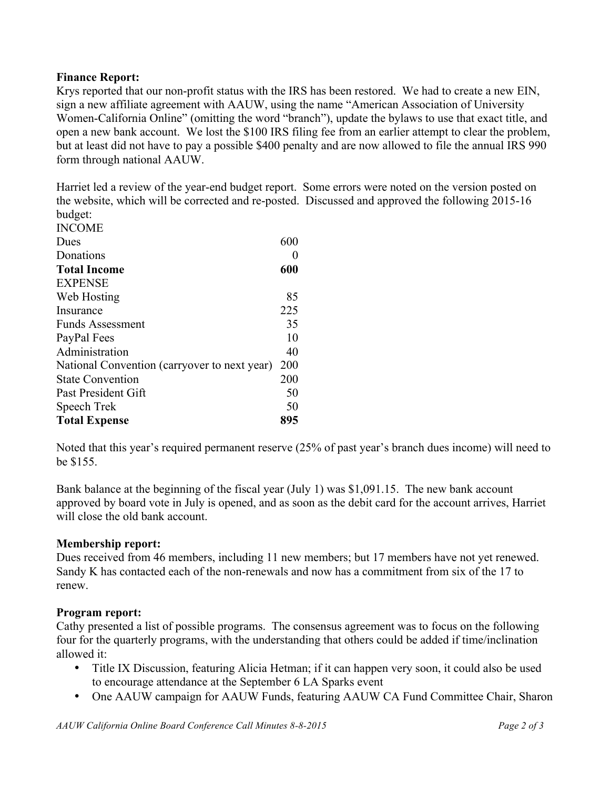## **Finance Report:**

Krys reported that our non-profit status with the IRS has been restored. We had to create a new EIN, sign a new affiliate agreement with AAUW, using the name "American Association of University Women-California Online" (omitting the word "branch"), update the bylaws to use that exact title, and open a new bank account. We lost the \$100 IRS filing fee from an earlier attempt to clear the problem, but at least did not have to pay a possible \$400 penalty and are now allowed to file the annual IRS 990 form through national AAUW.

Harriet led a review of the year-end budget report. Some errors were noted on the version posted on the website, which will be corrected and re-posted. Discussed and approved the following 2015-16 budget:

| <b>INCOME</b>                                |     |
|----------------------------------------------|-----|
| Dues                                         | 600 |
| Donations                                    | 0   |
| <b>Total Income</b>                          | 600 |
| <b>EXPENSE</b>                               |     |
| Web Hosting                                  | 85  |
| Insurance                                    | 225 |
| <b>Funds Assessment</b>                      | 35  |
| PayPal Fees                                  | 10  |
| Administration                               | 40  |
| National Convention (carryover to next year) | 200 |
| <b>State Convention</b>                      | 200 |
| Past President Gift                          | 50  |
| Speech Trek                                  | 50  |
| <b>Total Expense</b>                         | 895 |
|                                              |     |

Noted that this year's required permanent reserve (25% of past year's branch dues income) will need to be \$155.

Bank balance at the beginning of the fiscal year (July 1) was \$1,091.15. The new bank account approved by board vote in July is opened, and as soon as the debit card for the account arrives, Harriet will close the old bank account.

## **Membership report:**

Dues received from 46 members, including 11 new members; but 17 members have not yet renewed. Sandy K has contacted each of the non-renewals and now has a commitment from six of the 17 to renew.

## **Program report:**

Cathy presented a list of possible programs. The consensus agreement was to focus on the following four for the quarterly programs, with the understanding that others could be added if time/inclination allowed it:

- Title IX Discussion, featuring Alicia Hetman; if it can happen very soon, it could also be used to encourage attendance at the September 6 LA Sparks event
- One AAUW campaign for AAUW Funds, featuring AAUW CA Fund Committee Chair, Sharon